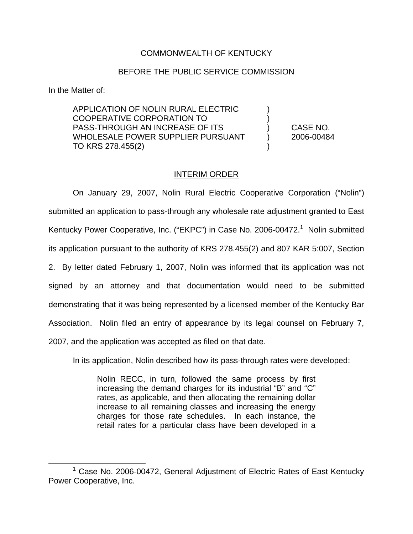## COMMONWEALTH OF KENTUCKY

## BEFORE THE PUBLIC SERVICE COMMISSION

In the Matter of:

APPLICATION OF NOLIN RURAL ELECTRIC ) COOPERATIVE CORPORATION TO ) PASS-THROUGH AN INCREASE OF ITS ) CASE NO. WHOLESALE POWER SUPPLIER PURSUANT (2006-00484 TO KRS 278.455(2)

## INTERIM ORDER

On January 29, 2007, Nolin Rural Electric Cooperative Corporation ("Nolin") submitted an application to pass-through any wholesale rate adjustment granted to East Kentucky Power Cooperative, Inc. ("EKPC") in Case No. 2006-00472.<sup>1</sup> Nolin submitted its application pursuant to the authority of KRS 278.455(2) and 807 KAR 5:007, Section 2. By letter dated February 1, 2007, Nolin was informed that its application was not signed by an attorney and that documentation would need to be submitted demonstrating that it was being represented by a licensed member of the Kentucky Bar Association. Nolin filed an entry of appearance by its legal counsel on February 7, 2007, and the application was accepted as filed on that date.

In its application, Nolin described how its pass-through rates were developed:

Nolin RECC, in turn, followed the same process by first increasing the demand charges for its industrial "B" and "C" rates, as applicable, and then allocating the remaining dollar increase to all remaining classes and increasing the energy charges for those rate schedules. In each instance, the retail rates for a particular class have been developed in a

<sup>1</sup> Case No. 2006-00472, General Adjustment of Electric Rates of East Kentucky Power Cooperative, Inc.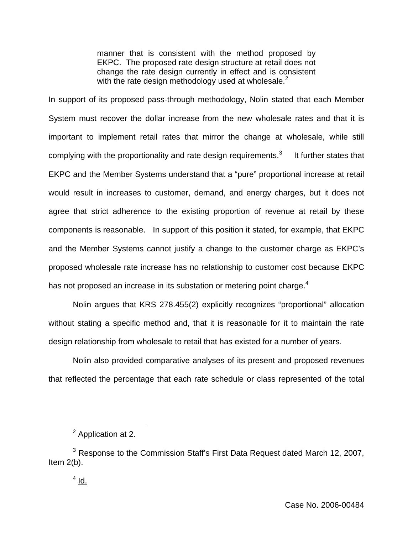manner that is consistent with the method proposed by EKPC. The proposed rate design structure at retail does not change the rate design currently in effect and is consistent with the rate design methodology used at wholesale. $2^2$ 

In support of its proposed pass-through methodology, Nolin stated that each Member System must recover the dollar increase from the new wholesale rates and that it is important to implement retail rates that mirror the change at wholesale, while still complying with the proportionality and rate design requirements.<sup>3</sup> It further states that EKPC and the Member Systems understand that a "pure" proportional increase at retail would result in increases to customer, demand, and energy charges, but it does not agree that strict adherence to the existing proportion of revenue at retail by these components is reasonable. In support of this position it stated, for example, that EKPC and the Member Systems cannot justify a change to the customer charge as EKPC's proposed wholesale rate increase has no relationship to customer cost because EKPC has not proposed an increase in its substation or metering point charge.<sup>4</sup>

Nolin argues that KRS 278.455(2) explicitly recognizes "proportional" allocation without stating a specific method and, that it is reasonable for it to maintain the rate design relationship from wholesale to retail that has existed for a number of years.

Nolin also provided comparative analyses of its present and proposed revenues that reflected the percentage that each rate schedule or class represented of the total

<sup>2</sup> Application at 2.

<sup>&</sup>lt;sup>3</sup> Response to the Commission Staff's First Data Request dated March 12, 2007, Item  $2(b)$ .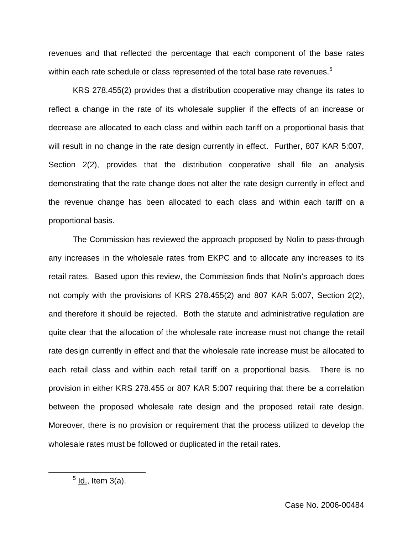revenues and that reflected the percentage that each component of the base rates within each rate schedule or class represented of the total base rate revenues.<sup>5</sup>

KRS 278.455(2) provides that a distribution cooperative may change its rates to reflect a change in the rate of its wholesale supplier if the effects of an increase or decrease are allocated to each class and within each tariff on a proportional basis that will result in no change in the rate design currently in effect. Further, 807 KAR 5:007, Section 2(2), provides that the distribution cooperative shall file an analysis demonstrating that the rate change does not alter the rate design currently in effect and the revenue change has been allocated to each class and within each tariff on a proportional basis.

The Commission has reviewed the approach proposed by Nolin to pass-through any increases in the wholesale rates from EKPC and to allocate any increases to its retail rates. Based upon this review, the Commission finds that Nolin's approach does not comply with the provisions of KRS 278.455(2) and 807 KAR 5:007, Section 2(2), and therefore it should be rejected. Both the statute and administrative regulation are quite clear that the allocation of the wholesale rate increase must not change the retail rate design currently in effect and that the wholesale rate increase must be allocated to each retail class and within each retail tariff on a proportional basis. There is no provision in either KRS 278.455 or 807 KAR 5:007 requiring that there be a correlation between the proposed wholesale rate design and the proposed retail rate design. Moreover, there is no provision or requirement that the process utilized to develop the wholesale rates must be followed or duplicated in the retail rates.

 $<sup>5</sup>$  ld., Item 3(a).</sup>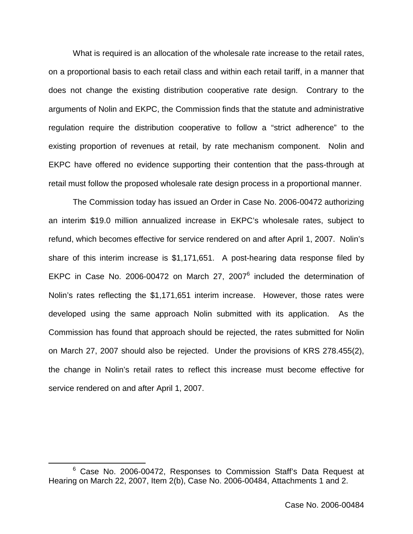What is required is an allocation of the wholesale rate increase to the retail rates, on a proportional basis to each retail class and within each retail tariff, in a manner that does not change the existing distribution cooperative rate design. Contrary to the arguments of Nolin and EKPC, the Commission finds that the statute and administrative regulation require the distribution cooperative to follow a "strict adherence" to the existing proportion of revenues at retail, by rate mechanism component. Nolin and EKPC have offered no evidence supporting their contention that the pass-through at retail must follow the proposed wholesale rate design process in a proportional manner.

The Commission today has issued an Order in Case No. 2006-00472 authorizing an interim \$19.0 million annualized increase in EKPC's wholesale rates, subject to refund, which becomes effective for service rendered on and after April 1, 2007. Nolin's share of this interim increase is \$1,171,651. A post-hearing data response filed by EKPC in Case No. 2006-00472 on March 27, 2007<sup>6</sup> included the determination of Nolin's rates reflecting the \$1,171,651 interim increase. However, those rates were developed using the same approach Nolin submitted with its application. As the Commission has found that approach should be rejected, the rates submitted for Nolin on March 27, 2007 should also be rejected. Under the provisions of KRS 278.455(2), the change in Nolin's retail rates to reflect this increase must become effective for service rendered on and after April 1, 2007.

<sup>&</sup>lt;sup>6</sup> Case No. 2006-00472, Responses to Commission Staff's Data Request at Hearing on March 22, 2007, Item 2(b), Case No. 2006-00484, Attachments 1 and 2.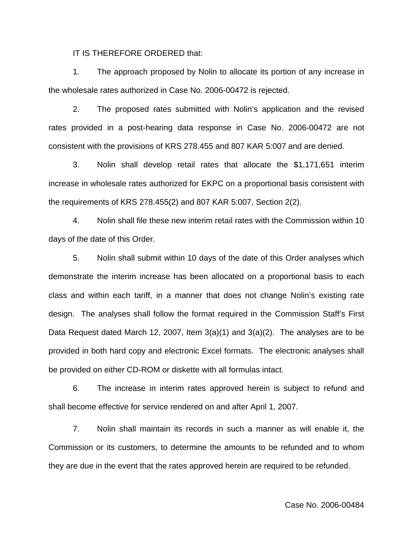IT IS THEREFORE ORDERED that:

1. The approach proposed by Nolin to allocate its portion of any increase in the wholesale rates authorized in Case No. 2006-00472 is rejected.

2. The proposed rates submitted with Nolin's application and the revised rates provided in a post-hearing data response in Case No. 2006-00472 are not consistent with the provisions of KRS 278.455 and 807 KAR 5:007 and are denied.

3. Nolin shall develop retail rates that allocate the \$1,171,651 interim increase in wholesale rates authorized for EKPC on a proportional basis consistent with the requirements of KRS 278.455(2) and 807 KAR 5:007, Section 2(2).

4. Nolin shall file these new interim retail rates with the Commission within 10 days of the date of this Order.

5. Nolin shall submit within 10 days of the date of this Order analyses which demonstrate the interim increase has been allocated on a proportional basis to each class and within each tariff, in a manner that does not change Nolin's existing rate design. The analyses shall follow the format required in the Commission Staff's First Data Request dated March 12, 2007, Item 3(a)(1) and 3(a)(2). The analyses are to be provided in both hard copy and electronic Excel formats. The electronic analyses shall be provided on either CD-ROM or diskette with all formulas intact.

6. The increase in interim rates approved herein is subject to refund and shall become effective for service rendered on and after April 1, 2007.

7. Nolin shall maintain its records in such a manner as will enable it, the Commission or its customers, to determine the amounts to be refunded and to whom they are due in the event that the rates approved herein are required to be refunded.